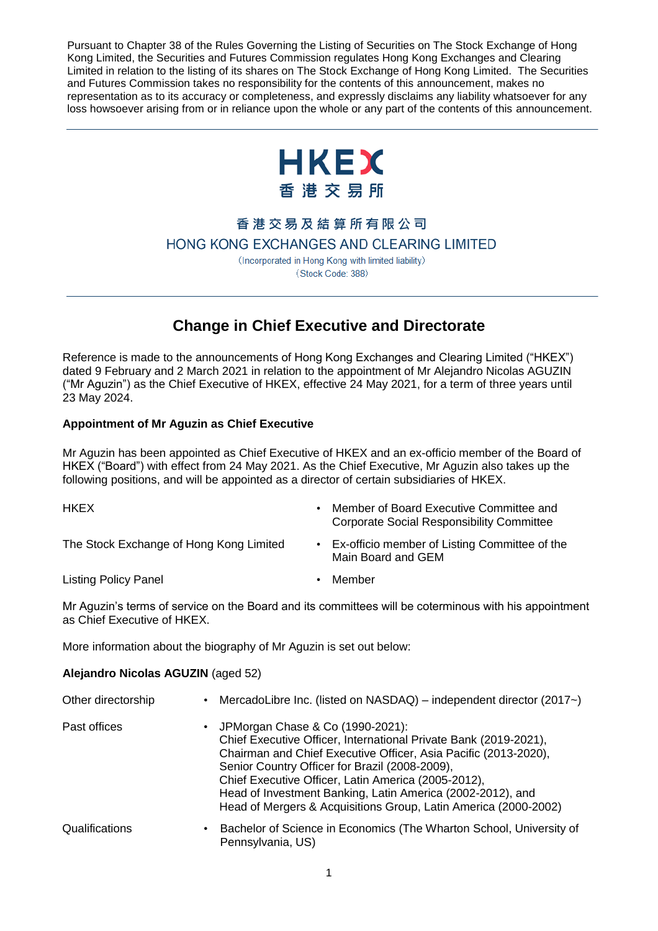Pursuant to Chapter 38 of the Rules Governing the Listing of Securities on The Stock Exchange of Hong Kong Limited, the Securities and Futures Commission regulates Hong Kong Exchanges and Clearing Limited in relation to the listing of its shares on The Stock Exchange of Hong Kong Limited. The Securities and Futures Commission takes no responsibility for the contents of this announcement, makes no representation as to its accuracy or completeness, and expressly disclaims any liability whatsoever for any loss howsoever arising from or in reliance upon the whole or any part of the contents of this announcement.



香港交易及結算所有限公司

HONG KONG EXCHANGES AND CLEARING LIMITED

(Incorporated in Hong Kong with limited liability) (Stock Code: 388)

## **Change in Chief Executive and Directorate**

Reference is made to the announcements of Hong Kong Exchanges and Clearing Limited ("HKEX") dated 9 February and 2 March 2021 in relation to the appointment of Mr Alejandro Nicolas AGUZIN ("Mr Aguzin") as the Chief Executive of HKEX, effective 24 May 2021, for a term of three years until 23 May 2024.

## **Appointment of Mr Aguzin as Chief Executive**

Mr Aguzin has been appointed as Chief Executive of HKEX and an ex-officio member of the Board of HKEX ("Board") with effect from 24 May 2021. As the Chief Executive, Mr Aguzin also takes up the following positions, and will be appointed as a director of certain subsidiaries of HKEX.

- 
- HKEX Member of Board Executive Committee and Corporate Social Responsibility Committee
- The Stock Exchange of Hong Kong Limited Ex-officio member of Listing Committee of the Main Board and GEM

Listing Policy Panel • Member

Mr Aguzin's terms of service on the Board and its committees will be coterminous with his appointment as Chief Executive of HKEX.

More information about the biography of Mr Aguzin is set out below:

## **Alejandro Nicolas AGUZIN** (aged 52)

| Other directorship | MercadoLibre Inc. (listed on $NASDAQ$ ) – independent director (2017 $\sim$ )<br>$\bullet$                                                                                                                                                                                                                                                                                                                          |
|--------------------|---------------------------------------------------------------------------------------------------------------------------------------------------------------------------------------------------------------------------------------------------------------------------------------------------------------------------------------------------------------------------------------------------------------------|
| Past offices       | • JPMorgan Chase & Co (1990-2021):<br>Chief Executive Officer, International Private Bank (2019-2021),<br>Chairman and Chief Executive Officer, Asia Pacific (2013-2020),<br>Senior Country Officer for Brazil (2008-2009),<br>Chief Executive Officer, Latin America (2005-2012),<br>Head of Investment Banking, Latin America (2002-2012), and<br>Head of Mergers & Acquisitions Group, Latin America (2000-2002) |
| Qualifications     | Bachelor of Science in Economics (The Wharton School, University of<br>$\bullet$<br>Pennsylvania, US)                                                                                                                                                                                                                                                                                                               |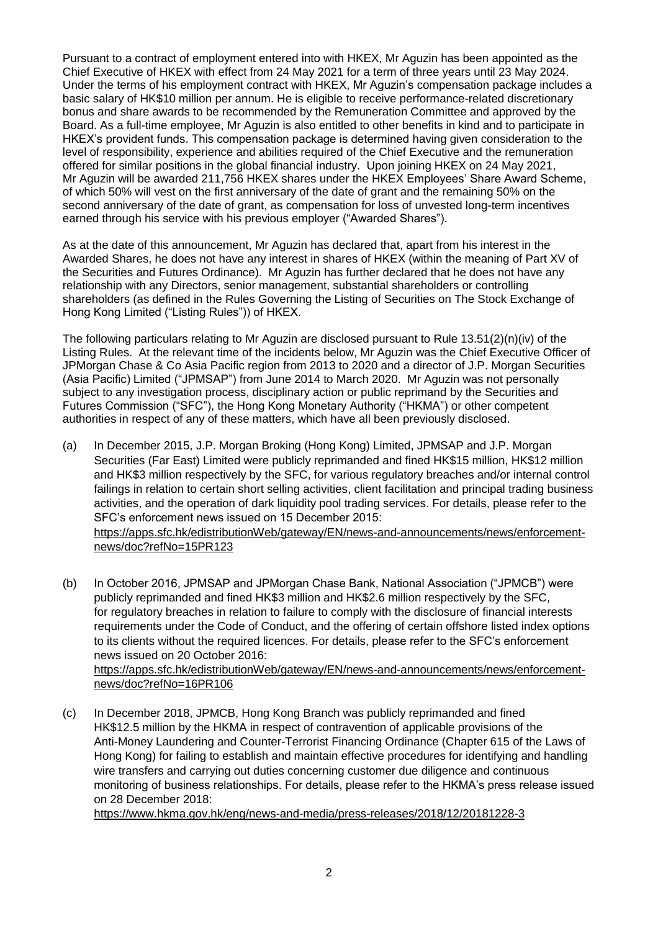Pursuant to a contract of employment entered into with HKEX, Mr Aguzin has been appointed as the Chief Executive of HKEX with effect from 24 May 2021 for a term of three years until 23 May 2024. Under the terms of his employment contract with HKEX, Mr Aguzin's compensation package includes a basic salary of HK\$10 million per annum. He is eligible to receive performance-related discretionary bonus and share awards to be recommended by the Remuneration Committee and approved by the Board. As a full-time employee, Mr Aguzin is also entitled to other benefits in kind and to participate in HKEX's provident funds. This compensation package is determined having given consideration to the level of responsibility, experience and abilities required of the Chief Executive and the remuneration offered for similar positions in the global financial industry. Upon joining HKEX on 24 May 2021, Mr Aguzin will be awarded 211,756 HKEX shares under the HKEX Employees' Share Award Scheme, of which 50% will vest on the first anniversary of the date of grant and the remaining 50% on the second anniversary of the date of grant, as compensation for loss of unvested long-term incentives earned through his service with his previous employer ("Awarded Shares").

As at the date of this announcement, Mr Aguzin has declared that, apart from his interest in the Awarded Shares, he does not have any interest in shares of HKEX (within the meaning of Part XV of the Securities and Futures Ordinance). Mr Aguzin has further declared that he does not have any relationship with any Directors, senior management, substantial shareholders or controlling shareholders (as defined in the Rules Governing the Listing of Securities on The Stock Exchange of Hong Kong Limited ("Listing Rules")) of HKEX.

The following particulars relating to Mr Aguzin are disclosed pursuant to Rule 13.51(2)(n)(iv) of the Listing Rules. At the relevant time of the incidents below, Mr Aguzin was the Chief Executive Officer of JPMorgan Chase & Co Asia Pacific region from 2013 to 2020 and a director of J.P. Morgan Securities (Asia Pacific) Limited ("JPMSAP") from June 2014 to March 2020. Mr Aguzin was not personally subject to any investigation process, disciplinary action or public reprimand by the Securities and Futures Commission ("SFC"), the Hong Kong Monetary Authority ("HKMA") or other competent authorities in respect of any of these matters, which have all been previously disclosed.

- (a) In December 2015, J.P. Morgan Broking (Hong Kong) Limited, JPMSAP and J.P. Morgan Securities (Far East) Limited were publicly reprimanded and fined HK\$15 million, HK\$12 million and HK\$3 million respectively by the SFC, for various regulatory breaches and/or internal control failings in relation to certain short selling activities, client facilitation and principal trading business activities, and the operation of dark liquidity pool trading services. For details, please refer to the SFC's enforcement news issued on 15 December 2015: [https://apps.sfc.hk/edistributionWeb/gateway/EN/news-and-announcements/news/enforcement](https://apps.sfc.hk/edistributionWeb/gateway/EN/news-and-announcements/news/enforcement-news/doc?refNo=15PR123)[news/doc?refNo=15PR123](https://apps.sfc.hk/edistributionWeb/gateway/EN/news-and-announcements/news/enforcement-news/doc?refNo=15PR123)
- (b) In October 2016, JPMSAP and JPMorgan Chase Bank, National Association ("JPMCB") were publicly reprimanded and fined HK\$3 million and HK\$2.6 million respectively by the SFC, for regulatory breaches in relation to failure to comply with the disclosure of financial interests requirements under the Code of Conduct, and the offering of certain offshore listed index options to its clients without the required licences. For details, please refer to the SFC's enforcement news issued on 20 October 2016: [https://apps.sfc.hk/edistributionWeb/gateway/EN/news-and-announcements/news/enforcement-](https://apps.sfc.hk/edistributionWeb/gateway/EN/news-and-announcements/news/enforcement-news/doc?refNo=16PR106)

[news/doc?refNo=16PR106](https://apps.sfc.hk/edistributionWeb/gateway/EN/news-and-announcements/news/enforcement-news/doc?refNo=16PR106)

(c) In December 2018, JPMCB, Hong Kong Branch was publicly reprimanded and fined HK\$12.5 million by the HKMA in respect of contravention of applicable provisions of the Anti-Money Laundering and Counter-Terrorist Financing Ordinance (Chapter 615 of the Laws of Hong Kong) for failing to establish and maintain effective procedures for identifying and handling wire transfers and carrying out duties concerning customer due diligence and continuous monitoring of business relationships. For details, please refer to the HKMA's press release issued on 28 December 2018:

<https://www.hkma.gov.hk/eng/news-and-media/press-releases/2018/12/20181228-3>